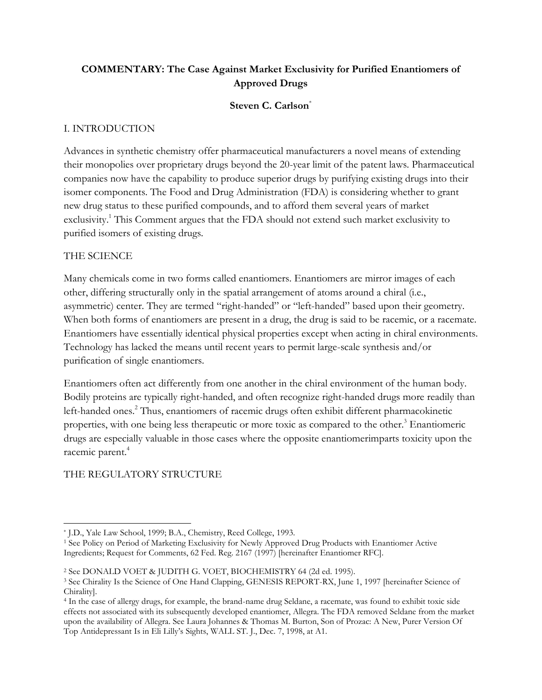# **COMMENTARY: The Case Against Market Exclusivity for Purified Enantiomers of Approved Drugs**

#### **Steven C. Carlson**\*

#### I. INTRODUCTION

Advances in synthetic chemistry offer pharmaceutical manufacturers a novel means of extending their monopolies over proprietary drugs beyond the 20-year limit of the patent laws. Pharmaceutical companies now have the capability to produce superior drugs by purifying existing drugs into their isomer components. The Food and Drug Administration (FDA) is considering whether to grant new drug status to these purified compounds, and to afford them several years of market exclusivity.<sup>1</sup> This Comment argues that the FDA should not extend such market exclusivity to purified isomers of existing drugs.

#### THE SCIENCE

Many chemicals come in two forms called enantiomers. Enantiomers are mirror images of each other, differing structurally only in the spatial arrangement of atoms around a chiral (i.e., asymmetric) center. They are termed "right-handed" or "left-handed" based upon their geometry. When both forms of enantiomers are present in a drug, the drug is said to be racemic, or a racemate. Enantiomers have essentially identical physical properties except when acting in chiral environments. Technology has lacked the means until recent years to permit large-scale synthesis and/or purification of single enantiomers.

Enantiomers often act differently from one another in the chiral environment of the human body. Bodily proteins are typically right-handed, and often recognize right-handed drugs more readily than left-handed ones.<sup>2</sup> Thus, enantiomers of racemic drugs often exhibit different pharmacokinetic properties, with one being less therapeutic or more toxic as compared to the other.<sup>3</sup> Enantiomeric drugs are especially valuable in those cases where the opposite enantiomerimparts toxicity upon the racemic parent. 4

#### THE REGULATORY STRUCTURE

 $\overline{\phantom{a}}$ \* J.D., Yale Law School, 1999; B.A., Chemistry, Reed College, 1993.

<sup>1</sup> See Policy on Period of Marketing Exclusivity for Newly Approved Drug Products with Enantiomer Active Ingredients; Request for Comments, 62 Fed. Reg. 2167 (1997) [hereinafter Enantiomer RFC].

<sup>2</sup> See DONALD VOET & JUDITH G. VOET, BIOCHEMISTRY 64 (2d ed. 1995).

<sup>&</sup>lt;sup>3</sup> See Chirality Is the Science of One Hand Clapping, GENESIS REPORT-RX, June 1, 1997 [hereinafter Science of Chirality].

<sup>4</sup> In the case of allergy drugs, for example, the brand-name drug Seldane, a racemate, was found to exhibit toxic side effects not associated with its subsequently developed enantiomer, Allegra. The FDA removed Seldane from the market upon the availability of Allegra. See Laura Johannes & Thomas M. Burton, Son of Prozac: A New, Purer Version Of Top Antidepressant Is in Eli Lilly's Sights, WALL ST. J., Dec. 7, 1998, at A1.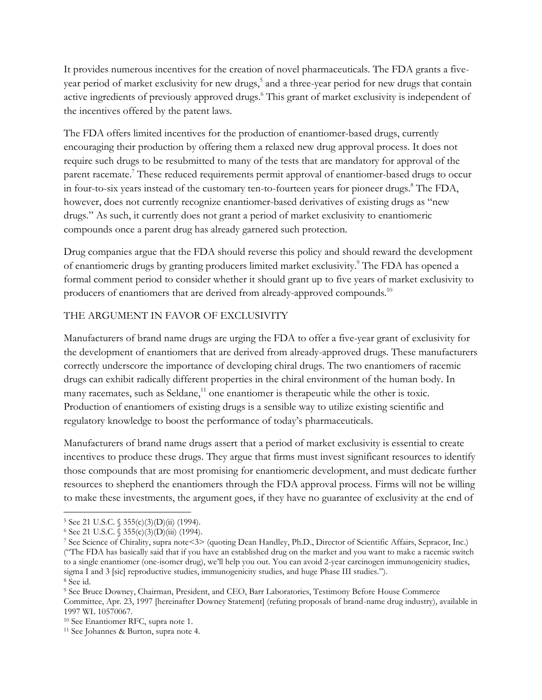It provides numerous incentives for the creation of novel pharmaceuticals. The FDA grants a fiveyear period of market exclusivity for new drugs,<sup>5</sup> and a three-year period for new drugs that contain active ingredients of previously approved drugs.<sup>6</sup> This grant of market exclusivity is independent of the incentives offered by the patent laws.

The FDA offers limited incentives for the production of enantiomer-based drugs, currently encouraging their production by offering them a relaxed new drug approval process. It does not require such drugs to be resubmitted to many of the tests that are mandatory for approval of the parent racemate.<sup>7</sup> These reduced requirements permit approval of enantiomer-based drugs to occur in four-to-six years instead of the customary ten-to-fourteen years for pioneer drugs.<sup>8</sup> The FDA, however, does not currently recognize enantiomer-based derivatives of existing drugs as "new drugs." As such, it currently does not grant a period of market exclusivity to enantiomeric compounds once a parent drug has already garnered such protection.

Drug companies argue that the FDA should reverse this policy and should reward the development of enantiomeric drugs by granting producers limited market exclusivity.<sup>9</sup> The FDA has opened a formal comment period to consider whether it should grant up to five years of market exclusivity to producers of enantiomers that are derived from already-approved compounds.<sup>10</sup>

# THE ARGUMENT IN FAVOR OF EXCLUSIVITY

Manufacturers of brand name drugs are urging the FDA to offer a five-year grant of exclusivity for the development of enantiomers that are derived from already-approved drugs. These manufacturers correctly underscore the importance of developing chiral drugs. The two enantiomers of racemic drugs can exhibit radically different properties in the chiral environment of the human body. In many racemates, such as Seldane, $11$  one enantiomer is therapeutic while the other is toxic. Production of enantiomers of existing drugs is a sensible way to utilize existing scientific and regulatory knowledge to boost the performance of today's pharmaceuticals.

Manufacturers of brand name drugs assert that a period of market exclusivity is essential to create incentives to produce these drugs. They argue that firms must invest significant resources to identify those compounds that are most promising for enantiomeric development, and must dedicate further resources to shepherd the enantiomers through the FDA approval process. Firms will not be willing to make these investments, the argument goes, if they have no guarantee of exclusivity at the end of

 $\overline{a}$  $5$  See 21 U.S.C.  $\sqrt{355(c)(3)(D)(ii)}$  (1994).

 $6$  See 21 U.S.C. § 355(c)(3)(D)(iii) (1994).

<sup>7</sup> See Science of Chirality, supra note<3> (quoting Dean Handley, Ph.D., Director of Scientific Affairs, Sepracor, Inc.) ("The FDA has basically said that if you have an established drug on the market and you want to make a racemic switch to a single enantiomer (one-isomer drug), we'll help you out. You can avoid 2-year carcinogen immunogenicity studies, sigma I and 3 [sic] reproductive studies, immunogenicity studies, and huge Phase III studies."). <sup>8</sup> See id.

<sup>9</sup> See Bruce Downey, Chairman, President, and CEO, Barr Laboratories, Testimony Before House Commerce Committee, Apr. 23, 1997 [hereinafter Downey Statement] (refuting proposals of brand-name drug industry), available in 1997 WL 10570067.

<sup>10</sup> See Enantiomer RFC, supra note 1.

<sup>11</sup> See Johannes & Burton, supra note 4.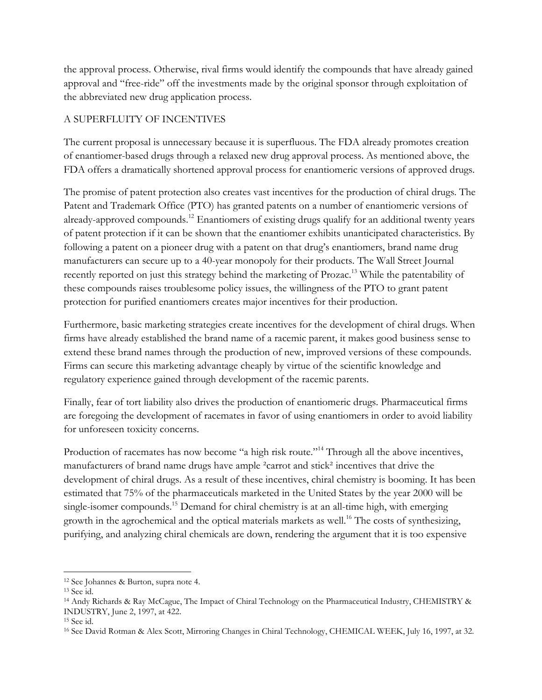the approval process. Otherwise, rival firms would identify the compounds that have already gained approval and "free-ride" off the investments made by the original sponsor through exploitation of the abbreviated new drug application process.

# A SUPERFLUITY OF INCENTIVES

The current proposal is unnecessary because it is superfluous. The FDA already promotes creation of enantiomer-based drugs through a relaxed new drug approval process. As mentioned above, the FDA offers a dramatically shortened approval process for enantiomeric versions of approved drugs.

The promise of patent protection also creates vast incentives for the production of chiral drugs. The Patent and Trademark Office (PTO) has granted patents on a number of enantiomeric versions of already-approved compounds.<sup>12</sup> Enantiomers of existing drugs qualify for an additional twenty years of patent protection if it can be shown that the enantiomer exhibits unanticipated characteristics. By following a patent on a pioneer drug with a patent on that drug's enantiomers, brand name drug manufacturers can secure up to a 40-year monopoly for their products. The Wall Street Journal recently reported on just this strategy behind the marketing of Prozac.<sup>13</sup> While the patentability of these compounds raises troublesome policy issues, the willingness of the PTO to grant patent protection for purified enantiomers creates major incentives for their production.

Furthermore, basic marketing strategies create incentives for the development of chiral drugs. When firms have already established the brand name of a racemic parent, it makes good business sense to extend these brand names through the production of new, improved versions of these compounds. Firms can secure this marketing advantage cheaply by virtue of the scientific knowledge and regulatory experience gained through development of the racemic parents.

Finally, fear of tort liability also drives the production of enantiomeric drugs. Pharmaceutical firms are foregoing the development of racemates in favor of using enantiomers in order to avoid liability for unforeseen toxicity concerns.

Production of racemates has now become "a high risk route."<sup>14</sup> Through all the above incentives, manufacturers of brand name drugs have ample ²carrot and stick² incentives that drive the development of chiral drugs. As a result of these incentives, chiral chemistry is booming. It has been estimated that 75% of the pharmaceuticals marketed in the United States by the year 2000 will be single-isomer compounds.<sup>15</sup> Demand for chiral chemistry is at an all-time high, with emerging growth in the agrochemical and the optical materials markets as well.<sup>16</sup> The costs of synthesizing, purifying, and analyzing chiral chemicals are down, rendering the argument that it is too expensive

 $\overline{\phantom{a}}$ 

<sup>12</sup> See Johannes & Burton, supra note 4.

<sup>13</sup> See id.

<sup>14</sup> Andy Richards & Ray McCague, The Impact of Chiral Technology on the Pharmaceutical Industry, CHEMISTRY & INDUSTRY, June 2, 1997, at 422.

<sup>15</sup> See id.

<sup>16</sup> See David Rotman & Alex Scott, Mirroring Changes in Chiral Technology, CHEMICAL WEEK, July 16, 1997, at 32.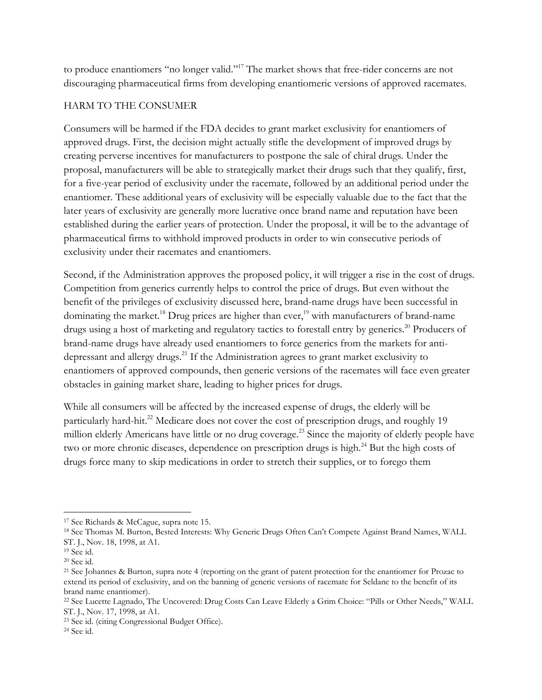to produce enantiomers "no longer valid."<sup>17</sup> The market shows that free-rider concerns are not discouraging pharmaceutical firms from developing enantiomeric versions of approved racemates.

#### HARM TO THE CONSUMER

Consumers will be harmed if the FDA decides to grant market exclusivity for enantiomers of approved drugs. First, the decision might actually stifle the development of improved drugs by creating perverse incentives for manufacturers to postpone the sale of chiral drugs. Under the proposal, manufacturers will be able to strategically market their drugs such that they qualify, first, for a five-year period of exclusivity under the racemate, followed by an additional period under the enantiomer. These additional years of exclusivity will be especially valuable due to the fact that the later years of exclusivity are generally more lucrative once brand name and reputation have been established during the earlier years of protection. Under the proposal, it will be to the advantage of pharmaceutical firms to withhold improved products in order to win consecutive periods of exclusivity under their racemates and enantiomers.

Second, if the Administration approves the proposed policy, it will trigger a rise in the cost of drugs. Competition from generics currently helps to control the price of drugs. But even without the benefit of the privileges of exclusivity discussed here, brand-name drugs have been successful in dominating the market.<sup>18</sup> Drug prices are higher than ever,<sup>19</sup> with manufacturers of brand-name drugs using a host of marketing and regulatory tactics to forestall entry by generics.<sup>20</sup> Producers of brand-name drugs have already used enantiomers to force generics from the markets for antidepressant and allergy drugs.<sup>21</sup> If the Administration agrees to grant market exclusivity to enantiomers of approved compounds, then generic versions of the racemates will face even greater obstacles in gaining market share, leading to higher prices for drugs.

While all consumers will be affected by the increased expense of drugs, the elderly will be particularly hard-hit.<sup>22</sup> Medicare does not cover the cost of prescription drugs, and roughly 19 million elderly Americans have little or no drug coverage.<sup>23</sup> Since the majority of elderly people have two or more chronic diseases, dependence on prescription drugs is high.<sup>24</sup> But the high costs of drugs force many to skip medications in order to stretch their supplies, or to forego them

 $\overline{a}$ 

<sup>17</sup> See Richards & McCague, supra note 15.

<sup>18</sup> See Thomas M. Burton, Bested Interests: Why Generic Drugs Often Can't Compete Against Brand Names, WALL ST. J., Nov. 18, 1998, at A1.

<sup>19</sup> See id.

<sup>20</sup> See id.

<sup>21</sup> See Johannes & Burton, supra note 4 (reporting on the grant of patent protection for the enantiomer for Prozac to extend its period of exclusivity, and on the banning of generic versions of racemate for Seldane to the benefit of its brand name enantiomer).

<sup>22</sup> See Lucette Lagnado, The Uncovered: Drug Costs Can Leave Elderly a Grim Choice: "Pills or Other Needs," WALL ST. J., Nov. 17, 1998, at A1.

<sup>23</sup> See id. (citing Congressional Budget Office).

<sup>24</sup> See id.